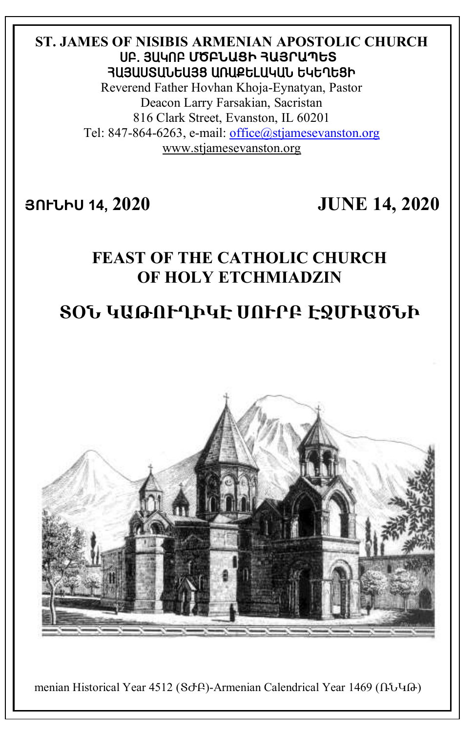## **ST. JAMES OF NISIBIS ARMENIAN APOSTOLIC CHURCH** ê´. Ú²Îà´ **ՄԾԲՆԱՑԻ ՀԱՅՐԱՊԵՏ** ՅԱՅԱՍՏԱՆԵԱՅՑ ԱՌԱՔԵԼԱԿԱՆ ԵԿԵՂԵՑԻ

Reverend Father Hovhan Khoja-Eynatyan, Pastor Deacon Larry Farsakian, Sacristan 816 Clark Street, Evanston, IL 60201 Tel: 847-864-6263, e-mail: [office@stjamesevanston.org](mailto:office@stjamesevanston.org) [www.stjamesevanston.org](http://www.stjamesevanston.org/)

**ՅՈՒՆԻՍ 14, 2020 JUNE 14, 2020**

# **FEAST OF THE CATHOLIC CHURCH OF HOLY ETCHMIADZIN**

# **ՏՕՆ ԿԱԹՈՒՂԻԿԷ ՍՈՒՐԲ ԷՋՄԻԱԾՆԻ**



menian Historical Year 4512 (Sd-β)-Armenian Calendrical Year 1469 (ՌՆԿԹ)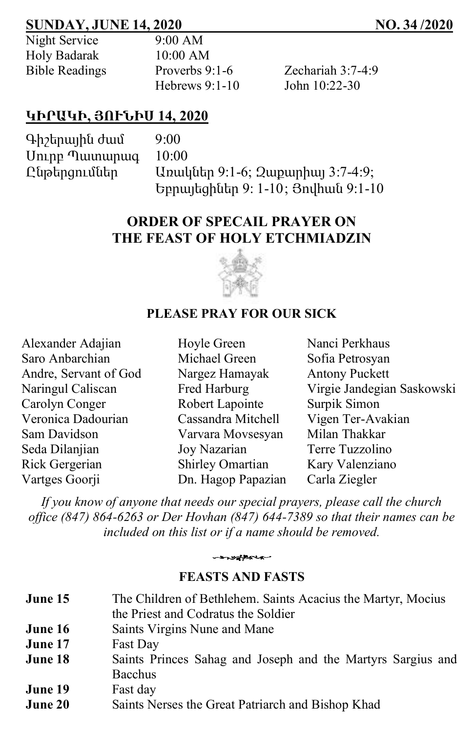## **SUNDAY, JUNE 14, 2020 NO. 34 /2020**

| Night Service         |  |
|-----------------------|--|
| Holy Badarak          |  |
| <b>Bible Readings</b> |  |

 $9:00$  AM  $10:00$  AM Hebrews 9:1-10 John 10:22-30

Proverbs 9:1-6  $Zechariah 3:7-4:9$ 

## **ԿԻՐԱԿԻ, ՅՈՒՆԻՍ 14, 2020**

Գիշերային ժամ 9:00 Սուրբ Պատարագ 10:00

Ընթերցումներ Առակներ 9:1-6; Զաքարիայ 3:7-4:9; Եբրայեցիներ 9: 1-10; Յովհան 9:1-10

## **ORDER OF SPECAIL PRAYER ON THE FEAST OF HOLY ETCHMIADZIN**



### **PLEASE PRAY FOR OUR SICK**

| Alexander Adajian     | Hoyle Green        | Nanci Perkhaus             |
|-----------------------|--------------------|----------------------------|
| Saro Anbarchian       | Michael Green      | Sofia Petrosyan            |
| Andre, Servant of God | Nargez Hamayak     | <b>Antony Puckett</b>      |
| Naringul Caliscan     | Fred Harburg       | Virgie Jandegian Saskowski |
| Carolyn Conger        | Robert Lapointe    | Surpik Simon               |
| Veronica Dadourian    | Cassandra Mitchell | Vigen Ter-Avakian          |
| Sam Davidson          | Varvara Movsesyan  | Milan Thakkar              |
| Seda Dilanjian        | Joy Nazarian       | Terre Tuzzolino            |
| Rick Gergerian        | Shirley Omartian   | Kary Valenziano            |
| Vartges Goorji        | Dn. Hagop Papazian | Carla Ziegler              |

*If you know of anyone that needs our special prayers, please call the church office (847) 864-6263 or Der Hovhan (847) 644-7389 so that their names can be included on this list or if a name should be removed.*



### **FEASTS AND FASTS**

| June 15 | The Children of Bethlehem. Saints Acacius the Martyr, Mocius<br>the Priest and Codratus the Soldier |
|---------|-----------------------------------------------------------------------------------------------------|
| June 16 | Saints Virgins Nune and Mane                                                                        |
| June 17 | Fast Day                                                                                            |
| June 18 | Saints Princes Sahag and Joseph and the Martyrs Sargius and<br>Bacchus                              |
| June 19 | Fast day                                                                                            |
| June 20 | Saints Nerses the Great Patriarch and Bishop Khad                                                   |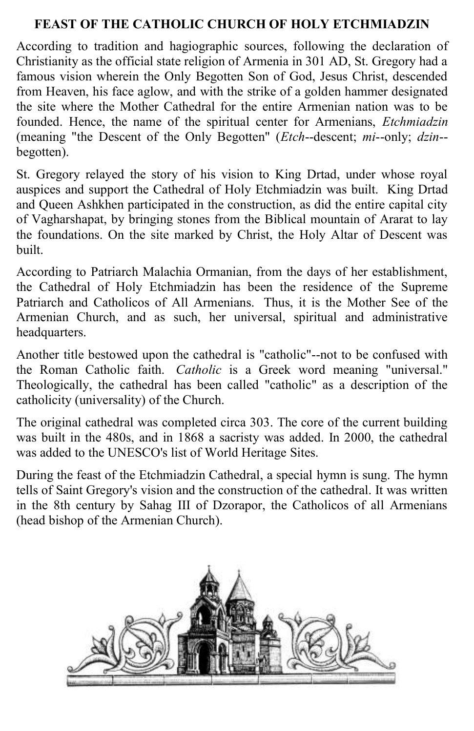### **FEAST OF THE CATHOLIC CHURCH OF HOLY ETCHMIADZIN**

According to tradition and hagiographic sources, following the declaration of Christianity as the official state religion of Armenia in 301 AD, St. Gregory had a famous vision wherein the Only Begotten Son of God, Jesus Christ, descended from Heaven, his face aglow, and with the strike of a golden hammer designated the site where the Mother Cathedral for the entire Armenian nation was to be founded. Hence, the name of the spiritual center for Armenians, *Etchmiadzin* (meaning "the Descent of the Only Begotten" (*Etch*--descent; *mi*--only; *dzin*- begotten).

St. Gregory relayed the story of his vision to King Drtad, under whose royal auspices and support the Cathedral of Holy Etchmiadzin was built. King Drtad and Queen Ashkhen participated in the construction, as did the entire capital city of Vagharshapat, by bringing stones from the Biblical mountain of Ararat to lay the foundations. On the site marked by Christ, the Holy Altar of Descent was built.

According to Patriarch Malachia Ormanian, from the days of her establishment, the Cathedral of Holy Etchmiadzin has been the residence of the Supreme Patriarch and Catholicos of All Armenians. Thus, it is the Mother See of the Armenian Church, and as such, her universal, spiritual and administrative headquarters.

Another title bestowed upon the cathedral is "catholic"--not to be confused with the Roman Catholic faith. *Catholic* is a Greek word meaning "universal." Theologically, the cathedral has been called "catholic" as a description of the catholicity (universality) of the Church.

The original cathedral was completed circa 303. The core of the current building was built in the 480s, and in 1868 a sacristy was added. In 2000, the cathedral was added to the UNESCO's list of World Heritage Sites.

During the feast of the Etchmiadzin Cathedral, a special hymn is sung. The hymn tells of Saint Gregory's vision and the construction of the cathedral. It was written in the 8th century by Sahag III of Dzorapor, the Catholicos of all Armenians (head bishop of the Armenian Church).

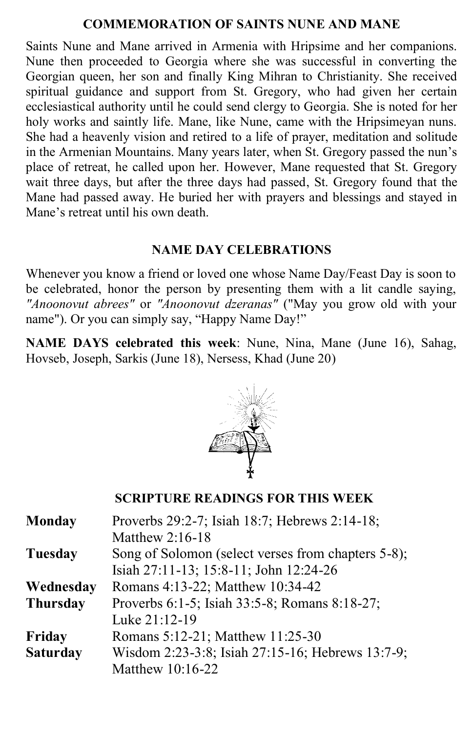### **COMMEMORATION OF SAINTS NUNE AND MANE**

Saints Nune and Mane arrived in Armenia with Hripsime and her companions. Nune then proceeded to Georgia where she was successful in converting the Georgian queen, her son and finally King Mihran to Christianity. She received spiritual guidance and support from St. Gregory, who had given her certain ecclesiastical authority until he could send clergy to Georgia. She is noted for her holy works and saintly life. Mane, like Nune, came with the Hripsimeyan nuns. She had a heavenly vision and retired to a life of prayer, meditation and solitude in the Armenian Mountains. Many years later, when St. Gregory passed the nun's place of retreat, he called upon her. However, Mane requested that St. Gregory wait three days, but after the three days had passed, St. Gregory found that the Mane had passed away. He buried her with prayers and blessings and stayed in Mane's retreat until his own death.

### **NAME DAY CELEBRATIONS**

Whenever you know a friend or loved one whose Name Day/Feast Day is soon to be celebrated, honor the person by presenting them with a lit candle saying, *"Anoonovut abrees"* or *"Anoonovut dzeranas"* ("May you grow old with your name"). Or you can simply say, "Happy Name Day!"

**NAME DAYS celebrated this week**: Nune, Nina, Mane (June 16), Sahag, Hovseb, Joseph, Sarkis (June 18), Nersess, Khad (June 20)



## **SCRIPTURE READINGS FOR THIS WEEK**

| <b>Monday</b>   | Proverbs 29:2-7; Isiah 18:7; Hebrews 2:14-18;      |
|-----------------|----------------------------------------------------|
|                 | Matthew $2:16-18$                                  |
| <b>Tuesday</b>  | Song of Solomon (select verses from chapters 5-8); |
|                 | Isiah 27:11-13; 15:8-11; John 12:24-26             |
| Wednesday       | Romans 4:13-22; Matthew 10:34-42                   |
| <b>Thursday</b> | Proverbs 6:1-5; Isiah 33:5-8; Romans 8:18-27;      |
|                 | Luke 21:12-19                                      |
| Friday          | Romans 5:12-21; Matthew 11:25-30                   |
| <b>Saturday</b> | Wisdom 2:23-3:8; Isiah 27:15-16; Hebrews 13:7-9;   |
|                 | Matthew 10:16-22                                   |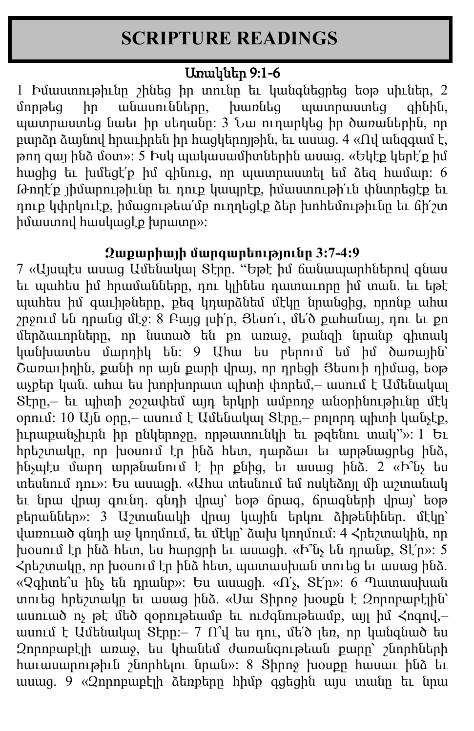# **SCRIPTURE READINGS**

# Առակներ 9:1-6

1 Իմաստութիւնը շինեց իր տունը եւ կանգնեցրեց եօթ սիւներ, 2 մորթեց իր անասունները, խառնեց պատրաստեց գինին, պատրաստեց նաեւ իր սեղանը: 3 Նա ուղարկեց իր ծառաներին, որ բարձր ձայնով հրաւիրեն իր հացկերոյթին, եւ ասաց. 4 «Ով անզգամ է,  $p$ րդ գայ ինձ մօտ»: 5 Իսկ պակասամիտներին ասաց. «Եկէք կերէ՛ք իմ հացից եւ խմեցէ՛ք իմ գինուց, որ պատրաստել եմ ձեզ համար: 6 Թողէ՛ք յիմարութիւնը եւ դուք կապրէք, իմաստութի՛ւն փնտրեցէք եւ դուք կփրկուէք, իմացութեա՛մբ ուղղեցէք ձեր խոհեմութիւնը եւ ճի՛շտ իմաստով հասկացէք խրատը»:

## **Զաքարիայի մարգարեությունը 3:7-4:9**

7 «Այսպէս ասաց Ամենակալ Տէրը. "Եթէ իմ ճանապարհներով գնաս եւ պահես իմ հրամանները, դու կլինես դատաւորը իմ տան. եւ եթէ պահես իմ գաւիթները, քեզ կդարձնեմ մէկը նրանցից, որոնք ահա շրջում են դրանց մէջ: 8 Բայց լսի՛ր, Յեսո՛ւ, մե՛ծ քահանայ, դու եւ քո մերձաւորները, որ նստած են քո առաջ, քանզի նրանք գիտակ կանխատես մարդիկ են: 9 Ահա ես բերում եմ իմ ծառային՝ Շառաւիղին, քանի որ այն քարի վրայ, որ դրեցի Յեսուի դիմաց, եօթ աչքեր կան. ահա ես խորխորատ պիտի փորեմ,– ասում է Ամենակալ Տէրը,– եւ պիտի շօշափեմ այդ երկրի ամբողջ անօրինութիւնը մէկ օրում: 10 Այն օրը,– ասում է Ամենակալ Տէրը,– բոլորդ պիտի կանչէք, իւրաքանչիւրն իր ընկերոջը, որթատունկի եւ թզենու տակ"»: 1 Եւ հրեշտակը, որ խօսում էր ինձ հետ, դարձաւ եւ արթնացրեց ինձ, ինչպէս մարդ արթնանում է իր քնից, եւ ասաց ինձ. 2 «Ի՞նչ ես տեսնում դու»: Ես ասացի. «Ահա տեսնում եմ ոսկեձոյլ մի աշտանակ եւ նրա վրայ գունդ. գնդի վրայ՝ եօթ ճրագ, ճրագների վրայ՝ եօթ բերաններ»: 3 Աշտանակի վրայ կային երկու ձիթենիներ. մէկը՝ վառուած գնդի աջ կողմում, եւ մէկը՝ ձախ կողմում: 4 Հրեշտակին, որ խօսում էր ինձ հետ, ես հարցրի եւ ասացի. «Ի՞նչ են դրանք, Տէ՛ր»: 5  $\zeta$ րեշտակը, որ խօսում էր ինձ հետ, պատասխան տուեց եւ ասաց ինձ. «Չգիտե՞ս ինչ են դրանք»: Ես ասացի. «Ո՛չ, Տէ՛ր»: 6 Պատասխան տուեց հրեշտակը եւ ասաց ինձ. «Սա Տիրոջ խօսքն է Զորոբաբէլին՝ ասուած ոչ թէ մեծ զօրութեամբ եւ ուժգնութեամբ, այլ իմ Հոգով,– ասում է Ամենակալ Տէրը:– 7 Ո՞վ ես դու, մե՛ծ լեռ, որ կանգնած ես Զորոբաբէլի առաջ, ես կհանեմ ժառանգութեան քարը՝ շնորհների հաւասարութիւն շնորհելու նրան»: 8 Տիրոջ խօսքը հասաւ ինձ եւ ասաց. 9 «Զորոբաբէլի ձեռքերը հիմք գցեցին այս տանը եւ նրա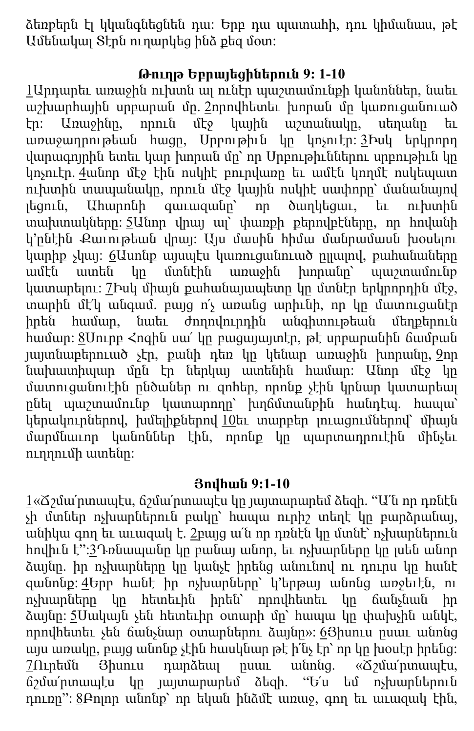ձեռքերն էլ կկանգնեցնեն դա: Երբ դա պատահի, դու կիմանաս, թէ Ամենակալ Տէրն ուղարկեց ինձ քեզ մօտ:

## **Թուղթ Եբրայեցիներուն 9: 1-10**

[1](http://biblehub.com/hebrews/9-1.htm)Արդարեւ առաջին ուխտն ալ ունէր պաշտամունքի կանոններ, նաեւ աշխարհային սրբարան մը. [2](http://biblehub.com/hebrews/9-2.htm)որովհետեւ խորան մը կառուցանուած էր: Առաջինը, որուն մէջ կային աշտանակը, սեղանը եւ առաջադրութեան հացը, Սրբութիւն կը կոչուէր: [3](http://biblehub.com/hebrews/9-3.htm)Իսկ երկրորդ վարագոյրին ետեւ կար խորան մը՝ որ Սրբութիւններու սրբութիւն կը կոչուէր. [4](http://biblehub.com/hebrews/9-4.htm)անոր մէջ էին ոսկիէ բուրվառը եւ ամէն կողմէ ոսկեպատ ուխտին տապանակը, որուն մէջ կային ոսկիէ սափորը՝ մանանայով լեցուն, Ահարոնի գաւազանը՝ որ ծաղկեցաւ, եւ ուխտին տախտակները: [5](http://biblehub.com/hebrews/9-5.htm)Անոր վրայ ալ՝ փառքի քերովբէները, որ հովանի կ՚ընէին Քաւութեան վրայ: Այս մասին հիմա մանրամասն խօսելու կարիք չկայ: [6](http://biblehub.com/hebrews/9-6.htm)Ասոնք այսպէս կառուցանուած ըլլալով, քահանաները ամէն ատեն կը մտնէին առաջին խորանը՝ պաշտամունք կատարելու: [7](http://biblehub.com/hebrews/9-7.htm)Իսկ միայն քահանայապետը կը մտնէր երկրորդին մէջ, տարին մէ՛կ անգամ. բայց ո՛չ առանց արիւնի, որ կը մատուցանէր իրեն համար, նաեւ ժողովուրդին անգիտութեան մեղքերուն համար: [8](http://biblehub.com/hebrews/9-8.htm)Սուրբ Հոգին սա՛ կը բացայայտէր, թէ սրբարանին ճամբան յայտնաբերուած չէր, քանի դեռ կը կենար առաջին խորանը, [9](http://biblehub.com/hebrews/9-9.htm)որ նախատիպար մըն էր ներկայ ատենին համար: Անոր մէջ կը մատուցանուէին ընծաներ ու զոհեր, որոնք չէին կրնար կատարեալ ընել պաշտամունք կատարողը՝ խղճմտանքին հանդէպ. հապա՝ կերակուրներով, խմելիքներով [10](http://biblehub.com/hebrews/9-10.htm)եւ տարբեր լուացումներով՝ միայն մարմնաւոր կանոններ էին, որոնք կը պարտադրուէին մինչեւ ուղղումի ատենը:

## **Յովհան 9:1-10**

 $1$ «Ճշմա՜րտապէս, ճշմա՜րտապէս կը յայտարարեմ ձեզի. "Ա՜ն որ դռնէն չի մտներ ոչխարներուն բակը՝ հապա ուրիշ տեղէ կը բարձրանայ, անիկա գող եւ աւազակ է. [2](http://biblehub.com/john/10-2.htm)բայց ա՛ն որ դռնէն կը մտնէ՝ ոչխարներուն հովիւն է":[3](http://biblehub.com/john/10-3.htm)Դռնապանը կը բանայ անոր, եւ ոչխարները կը լսեն անոր ձայնը. իր ոչխարները կը կանչէ իրենց անունով ու դուրս կը հանէ զանոնք: [4](http://biblehub.com/john/10-4.htm)Երբ հանէ իր ոչխարները՝ կ՚երթայ անոնց առջեւէն, ու ոչխարները կը հետեւին իրեն՝ որովհետեւ կը ճանչնան իր ձայնը: [5](http://biblehub.com/john/10-5.htm)Սակայն չեն հետեւիր օտարի մը՝ հապա կը փախչին անկէ, որովհետեւ չեն ճանչնար օտարներու ձայնը»: [6](http://biblehub.com/john/10-6.htm)Յիսուս ըսաւ անոնց այս առակը, բայց անոնք չէին հասկնար թէ ի՛նչ էր՝ որ կը խօսէր իրենց:  $7$ Ուրեմն Յիսուս դարձեալ ըսաւ անոնց. «Ճշմա՜րտապէս, ճշմա՛րտապէս կը յայտարարեմ ձեզի. "Ե՛ս եմ ոչխարներուն դուռը": [8](http://biblehub.com/john/10-8.htm)Բոլոր անոնք՝ որ եկան ինձմէ առաջ, գող եւ աւազակ էին,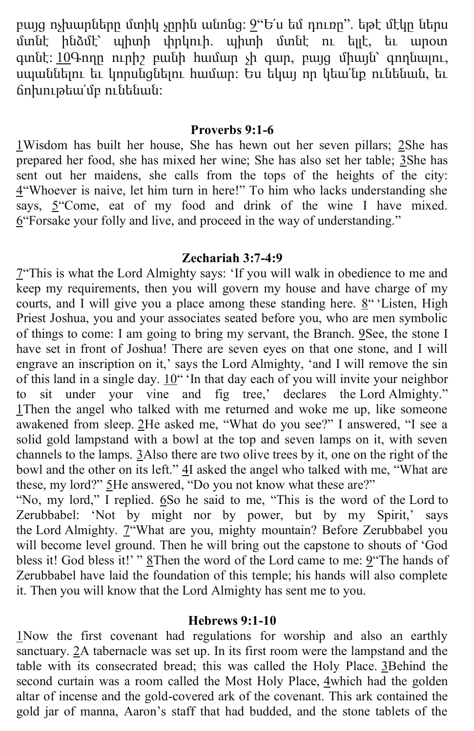բայց ոչխարները մտիկ չըրին անոնց: [9](http://biblehub.com/john/10-9.htm)"Ե՛ս եմ դուռը". եթէ մէկը ներս մտնէ ինձմէ՝ պիտի փրկուի. պիտի մտնէ ու ելլէ, եւ արօտ գտնէ: [10](http://biblehub.com/john/10-10.htm)Գողը ուրիշ բանի համար չի գար, բայց միայն՝ գողնալու, սպաննելու եւ կորսնցնելու համար: Ես եկայ որ կեա՛նք ունենան, եւ ճոխութեա՛մբ ունենան:

#### **Proverbs 9:1-6**

[1W](http://biblehub.com/proverbs/9-1.htm)isdom has built her house, She has hewn out her seven pillars; [2S](http://biblehub.com/proverbs/9-2.htm)he has prepared her food, she has mixed her wine; She has also set her table; [3S](http://biblehub.com/proverbs/9-3.htm)he has sent out her maidens, she calls from the tops of the heights of the city: [4](http://biblehub.com/proverbs/9-4.htm)"Whoever is naive, let him turn in here!" To him who lacks understanding she says, [5](http://biblehub.com/proverbs/9-5.htm)"Come, eat of my food and drink of the wine I have mixed. [6](http://biblehub.com/proverbs/9-6.htm)"Forsake your folly and live, and proceed in the way of understanding."

#### **Zechariah 3:7-4:9**

[7](http://biblehub.com/zechariah/3-7.htm)"This is what the Lord Almighty says: 'If you will walk in obedience to me and keep my requirements, then you will govern my house and have charge of my courts, and I will give you a place among these standing here. [8](http://biblehub.com/zechariah/3-8.htm)" 'Listen, High Priest Joshua, you and your associates seated before you, who are men symbolic of things to come: I am going to bring my servant, the Branch. [9S](http://biblehub.com/zechariah/3-9.htm)ee, the stone I have set in front of Joshua! There are seven eyes on that one stone, and I will engrave an inscription on it,' says the Lord Almighty, 'and I will remove the sin of this land in a single day. [10](http://biblehub.com/zechariah/3-10.htm)" 'In that day each of you will invite your neighbor to sit under your vine and fig tree,' declares the Lord Almighty." [1T](http://biblehub.com/zechariah/4-1.htm)hen the angel who talked with me returned and woke me up, like someone awakened from sleep. [2](http://biblehub.com/zechariah/4-2.htm)He asked me, "What do you see?" I answered, "I see a solid gold lampstand with a bowl at the top and seven lamps on it, with seven channels to the lamps. [3A](http://biblehub.com/zechariah/4-3.htm)lso there are two olive trees by it, one on the right of the bowl and the other on its left."  $4I$  $4I$  asked the angel who talked with me, "What are these, my lord?" [5](http://biblehub.com/zechariah/4-5.htm)He answered, "Do you not know what these are?"

"No, my lord," I replied. [6](http://biblehub.com/zechariah/4-6.htm)So he said to me, "This is the word of the Lord to Zerubbabel: 'Not by might nor by power, but by my Spirit,' says the Lord Almighty. <sup>7"</sup>What are you, mighty mountain? Before Zerubbabel you will become level ground. Then he will bring out the capstone to shouts of 'God bless it! God bless it!' " [8T](http://biblehub.com/zechariah/4-8.htm)hen the word of the Lord came to me: [9](http://biblehub.com/zechariah/4-9.htm)"The hands of Zerubbabel have laid the foundation of this temple; his hands will also complete it. Then you will know that the Lord Almighty has sent me to you.

### **Hebrews 9:1-10**

[1N](http://biblehub.com/hebrews/9-1.htm)ow the first covenant had regulations for worship and also an earthly sanctuary. [2A](http://biblehub.com/hebrews/9-2.htm) tabernacle was set up. In its first room were the lampstand and the table with its consecrated bread; this was called the Holy Place. [3B](http://biblehub.com/hebrews/9-3.htm)ehind the second curtain was a room called the Most Holy Place, [4w](http://biblehub.com/hebrews/9-4.htm)hich had the golden altar of incense and the gold-covered ark of the covenant. This ark contained the gold jar of manna, Aaron's staff that had budded, and the stone tablets of the